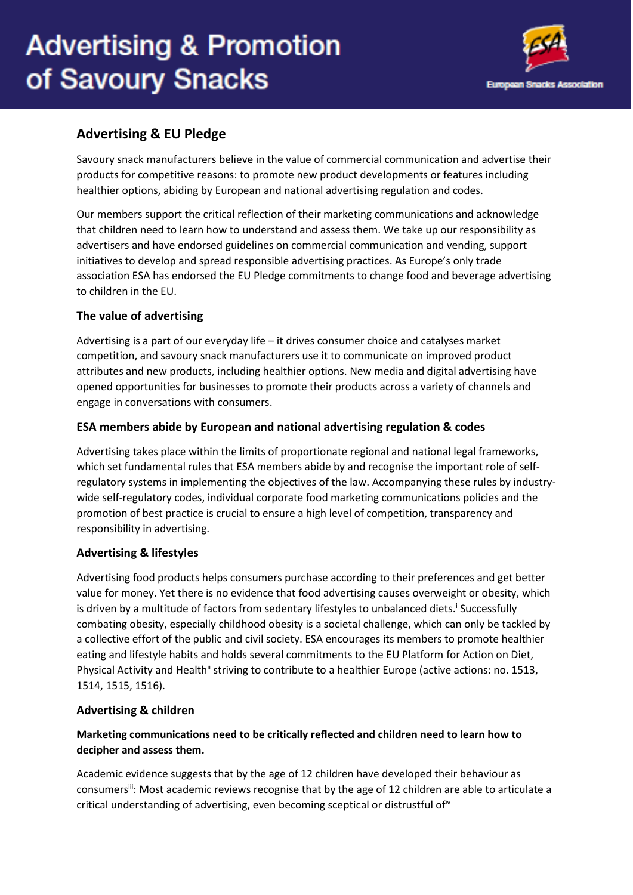# **Advertising & Promotion** of Savoury Snacks



# **Advertising & EU Pledge**

Savoury snack manufacturers believe in the value of commercial communication and advertise their products for competitive reasons: to promote new product developments or features including healthier options, abiding by European and national advertising regulation and codes.

Our members support the critical reflection of their marketing communications and acknowledge that children need to learn how to understand and assess them. We take up our responsibility as advertisers and have endorsed guidelines on commercial communication and vending, support initiatives to develop and spread responsible advertising practices. As Europe's only trade association ESA has endorsed the EU Pledge commitments to change food and beverage advertising to children in the EU.

# **The value of advertising**

Advertising is a part of our everyday life – it drives consumer choice and catalyses market competition, and savoury snack manufacturers use it to communicate on improved product attributes and new products, including healthier options. New media and digital advertising have opened opportunities for businesses to promote their products across a variety of channels and engage in conversations with consumers.

# **ESA members abide by European and national advertising regulation & codes**

Advertising takes place within the limits of proportionate regional and national legal frameworks, which set fundamental rules that ESA members abide by and recognise the important role of selfregulatory systems in implementing the objectives of the law. Accompanying these rules by industrywide self-regulatory codes, individual corporate food marketing communications policies and the promotion of best practice is crucial to ensure a high level of competition, transparency and responsibility in advertising.

#### **Advertising & lifestyles**

Advertising food products helps consumers purchase according to their preferences and get better value for money. Yet there is no evidence that food advertising causes overweight or obesity, which is driven by a multitude of factors from sedentary lifestyles to unbalanced diets.<sup>i</sup> Successfully combating obesity, especially childhood obesity is a societal challenge, which can only be tackled by a collective effort of the public and civil society. ESA encourages its members to promote healthier eating and lifestyle habits and holds several commitments to the EU Platform for Action on Diet, Physical Activity and Health<sup>ii</sup> striving to contribute to a healthier Europe (active actions: no. 1513, 1514, 1515, 1516).

#### **Advertising & children**

# **Marketing communications need to be critically reflected and children need to learn how to decipher and assess them.**

Academic evidence suggests that by the age of 12 children have developed their behaviour as consumers<sup>iii</sup>: Most academic reviews recognise that by the age of 12 children are able to articulate a critical understanding of advertising, even becoming sceptical or distrustful of  $\dot{v}$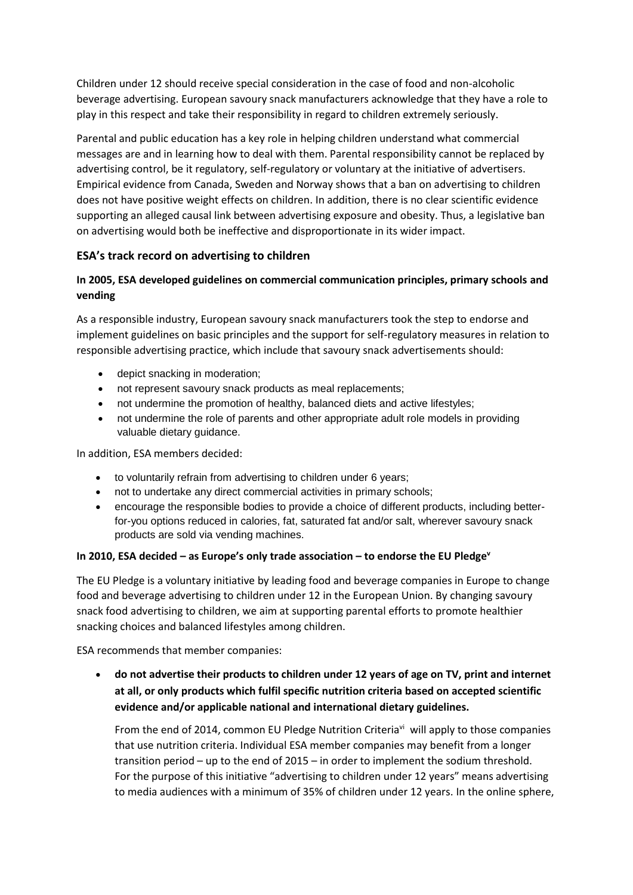Children under 12 should receive special consideration in the case of food and non-alcoholic beverage advertising. European savoury snack manufacturers acknowledge that they have a role to play in this respect and take their responsibility in regard to children extremely seriously.

Parental and public education has a key role in helping children understand what commercial messages are and in learning how to deal with them. Parental responsibility cannot be replaced by advertising control, be it regulatory, self-regulatory or voluntary at the initiative of advertisers. Empirical evidence from Canada, Sweden and Norway shows that a ban on advertising to children does not have positive weight effects on children. In addition, there is no clear scientific evidence supporting an alleged causal link between advertising exposure and obesity. Thus, a legislative ban on advertising would both be ineffective and disproportionate in its wider impact.

# **ESA's track record on advertising to children**

# **In 2005, ESA developed guidelines on commercial communication principles, primary schools and vending**

As a responsible industry, European savoury snack manufacturers took the step to endorse and implement guidelines on basic principles and the support for self-regulatory measures in relation to responsible advertising practice, which include that savoury snack advertisements should:

- depict snacking in moderation;
- not represent savoury snack products as meal replacements;
- not undermine the promotion of healthy, balanced diets and active lifestyles;
- not undermine the role of parents and other appropriate adult role models in providing valuable dietary guidance.

In addition, ESA members decided:

- to voluntarily refrain from advertising to children under 6 years;
- not to undertake any direct commercial activities in primary schools;
- encourage the responsible bodies to provide a choice of different products, including betterfor-you options reduced in calories, fat, saturated fat and/or salt, wherever savoury snack products are sold via vending machines.

#### **In 2010, ESA decided – as Europe's only trade association – to endorse the EU Pledge<sup>v</sup>**

The EU Pledge is a voluntary initiative by leading food and beverage companies in Europe to change food and beverage advertising to children under 12 in the European Union. By changing savoury snack food advertising to children, we aim at supporting parental efforts to promote healthier snacking choices and balanced lifestyles among children.

ESA recommends that member companies:

 **do not advertise their products to children under 12 years of age on TV, print and internet at all, or only products which fulfil specific nutrition criteria based on accepted scientific evidence and/or applicable national and international dietary guidelines.**

From the end of 2014, common EU Pledge Nutrition Criteria<sup>vi</sup> will apply to those companies that use nutrition criteria. Individual ESA member companies may benefit from a longer transition period – up to the end of 2015 – in order to implement the sodium threshold. For the purpose of this initiative "advertising to children under 12 years" means advertising to media audiences with a minimum of 35% of children under 12 years. In the online sphere,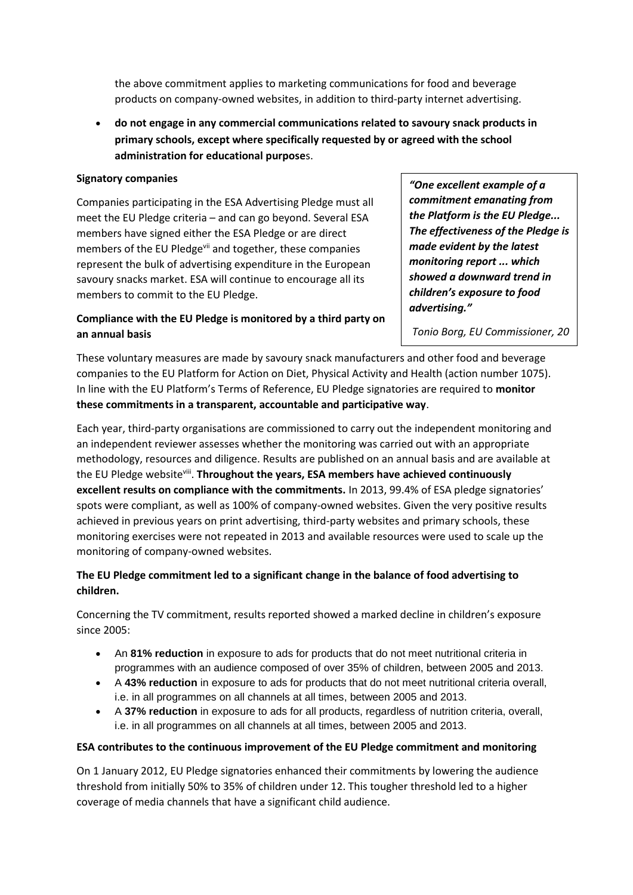the above commitment applies to marketing communications for food and beverage products on company-owned websites, in addition to third-party internet advertising.

 **do not engage in any commercial communications related to savoury snack products in primary schools, except where specifically requested by or agreed with the school administration for educational purpose**s.

#### **Signatory companies**

Companies participating in the ESA Advertising Pledge must all meet the EU Pledge criteria – and can go beyond. Several ESA members have signed either the ESA Pledge or are direct members of the EU Pledge<sup>vii</sup> and together, these companies represent the bulk of advertising expenditure in the European savoury snacks market. ESA will continue to encourage all its members to commit to the EU Pledge.

# **Compliance with the EU Pledge is monitored by a third party on an annual basis**

*"One excellent example of a commitment emanating from the Platform is the EU Pledge... The effectiveness of the Pledge is made evident by the latest monitoring report ... which showed a downward trend in children's exposure to food advertising."*

*Tonio Borg, EU Commissioner, 20* 

These voluntary measures are made by savoury snack manufacturers and other food and beverage companies to the EU Platform for Action on Diet, Physical Activity and Health (action number 1075). In line with the EU Platform's Terms of Reference, EU Pledge signatories are required to **monitor these commitments in a transparent, accountable and participative way**. *June 2013*

Each year, third-party organisations are commissioned to carry out the independent monitoring and an independent reviewer assesses whether the monitoring was carried out with an appropriate methodology, resources and diligence. Results are published on an annual basis and are available at the EU Pledge website<sup>viii</sup>. **Throughout the years, ESA members have achieved continuously excellent results on compliance with the commitments.** In 2013, 99.4% of ESA pledge signatories' spots were compliant, as well as 100% of company-owned websites. Given the very positive results achieved in previous years on print advertising, third-party websites and primary schools, these monitoring exercises were not repeated in 2013 and available resources were used to scale up the monitoring of company-owned websites.

# **The EU Pledge commitment led to a significant change in the balance of food advertising to children.**

Concerning the TV commitment, results reported showed a marked decline in children's exposure since 2005:

- An **81% reduction** in exposure to ads for products that do not meet nutritional criteria in programmes with an audience composed of over 35% of children, between 2005 and 2013.
- A **43% reduction** in exposure to ads for products that do not meet nutritional criteria overall, i.e. in all programmes on all channels at all times, between 2005 and 2013.
- A **37% reduction** in exposure to ads for all products, regardless of nutrition criteria, overall, i.e. in all programmes on all channels at all times, between 2005 and 2013.

#### **ESA contributes to the continuous improvement of the EU Pledge commitment and monitoring**

On 1 January 2012, EU Pledge signatories enhanced their commitments by lowering the audience threshold from initially 50% to 35% of children under 12. This tougher threshold led to a higher coverage of media channels that have a significant child audience.